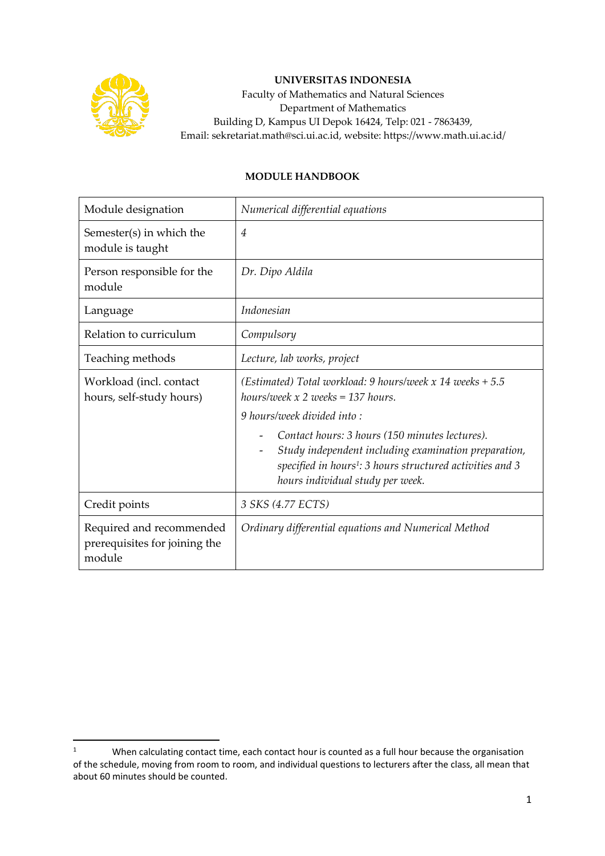

## **UNIVERSITAS INDONESIA**

Faculty of Mathematics and Natural Sciences Department of Mathematics Building D, Kampus UI Depok 16424, Telp: 021 - 7863439, Email: sekretariat.math@sci.ui.ac.id, website: https://www.math.ui.ac.id/

## **MODULE HANDBOOK**

| Module designation                                                  | Numerical differential equations                                                                                                                                                                                    |
|---------------------------------------------------------------------|---------------------------------------------------------------------------------------------------------------------------------------------------------------------------------------------------------------------|
| Semester(s) in which the<br>module is taught                        | $\overline{4}$                                                                                                                                                                                                      |
| Person responsible for the<br>module                                | Dr. Dipo Aldila                                                                                                                                                                                                     |
| Language                                                            | Indonesian                                                                                                                                                                                                          |
| Relation to curriculum                                              | Compulsory                                                                                                                                                                                                          |
| Teaching methods                                                    | Lecture, lab works, project                                                                                                                                                                                         |
| Workload (incl. contact<br>hours, self-study hours)                 | (Estimated) Total workload: 9 hours/week x 14 weeks $+ 5.5$<br>hours/week $x$ 2 weeks = 137 hours.                                                                                                                  |
|                                                                     | 9 hours/week divided into:                                                                                                                                                                                          |
|                                                                     | Contact hours: 3 hours (150 minutes lectures).<br>Study independent including examination preparation,<br>specified in hours <sup>1</sup> : 3 hours structured activities and 3<br>hours individual study per week. |
| Credit points                                                       | 3 SKS (4.77 ECTS)                                                                                                                                                                                                   |
| Required and recommended<br>prerequisites for joining the<br>module | Ordinary differential equations and Numerical Method                                                                                                                                                                |

<sup>&</sup>lt;sup>1</sup> When calculating contact time, each contact hour is counted as a full hour because the organisation of the schedule, moving from room to room, and individual questions to lecturers after the class, all mean that about 60 minutes should be counted.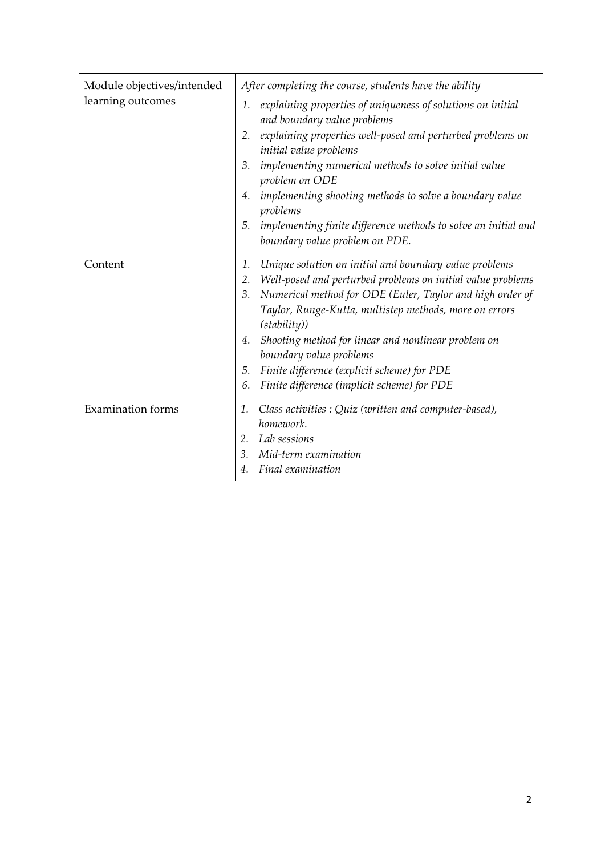| Module objectives/intended<br>learning outcomes | After completing the course, students have the ability                                                                                                                                                                                                                                                                                                                                                                                                                           |
|-------------------------------------------------|----------------------------------------------------------------------------------------------------------------------------------------------------------------------------------------------------------------------------------------------------------------------------------------------------------------------------------------------------------------------------------------------------------------------------------------------------------------------------------|
|                                                 | explaining properties of uniqueness of solutions on initial<br>1.<br>and boundary value problems                                                                                                                                                                                                                                                                                                                                                                                 |
|                                                 | explaining properties well-posed and perturbed problems on<br>2.<br>initial value problems                                                                                                                                                                                                                                                                                                                                                                                       |
|                                                 | implementing numerical methods to solve initial value<br>3.<br>problem on ODE                                                                                                                                                                                                                                                                                                                                                                                                    |
|                                                 | implementing shooting methods to solve a boundary value<br>4.<br>problems                                                                                                                                                                                                                                                                                                                                                                                                        |
|                                                 | implementing finite difference methods to solve an initial and<br>5.<br>boundary value problem on PDE.                                                                                                                                                                                                                                                                                                                                                                           |
| Content                                         | Unique solution on initial and boundary value problems<br>1.<br>Well-posed and perturbed problems on initial value problems<br>2.<br>Numerical method for ODE (Euler, Taylor and high order of<br>3.<br>Taylor, Runge-Kutta, multistep methods, more on errors<br>(statility))<br>Shooting method for linear and nonlinear problem on<br>4.<br>boundary value problems<br>Finite difference (explicit scheme) for PDE<br>5.<br>Finite difference (implicit scheme) for PDE<br>6. |
| <b>Examination forms</b>                        | Class activities : Quiz (written and computer-based),<br>1.<br>homework.<br>Lab sessions<br>$2_{-}$<br>Mid-term examination<br>3.<br>Final examination                                                                                                                                                                                                                                                                                                                           |